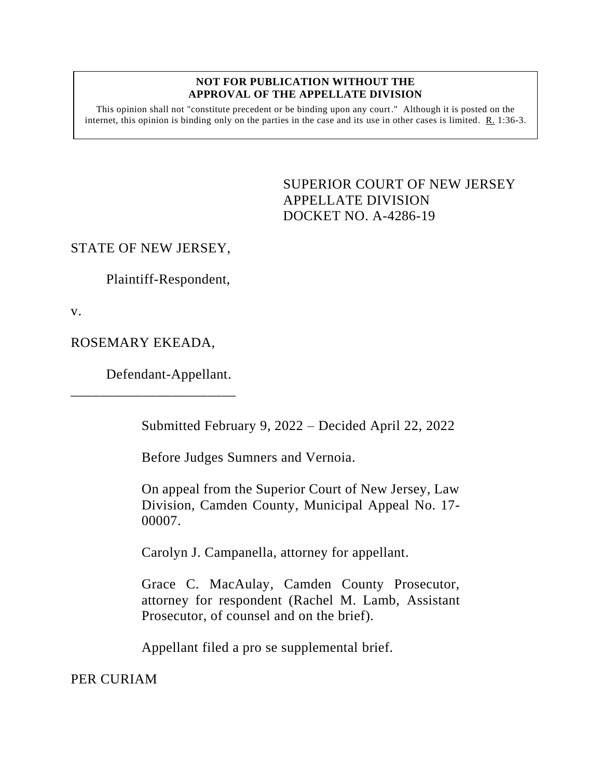#### **NOT FOR PUBLICATION WITHOUT THE APPROVAL OF THE APPELLATE DIVISION**

This opinion shall not "constitute precedent or be binding upon any court." Although it is posted on the internet, this opinion is binding only on the parties in the case and its use in other cases is limited.  $R_1$  1:36-3.

> <span id="page-0-0"></span>SUPERIOR COURT OF NEW JERSEY APPELLATE DIVISION DOCKET NO. A-4286-19

#### STATE OF NEW JERSEY,

Plaintiff-Respondent,

v.

#### ROSEMARY EKEADA,

\_\_\_\_\_\_\_\_\_\_\_\_\_\_\_\_\_\_\_\_\_\_\_

Defendant-Appellant.

Submitted February 9, 2022 – Decided April 22, 2022

Before Judges Sumners and Vernoia.

On appeal from the Superior Court of New Jersey, Law Division, Camden County, Municipal Appeal No. 17- 00007.

Carolyn J. Campanella, attorney for appellant.

Grace C. MacAulay, Camden County Prosecutor, attorney for respondent (Rachel M. Lamb, Assistant Prosecutor, of counsel and on the brief).

Appellant filed a pro se supplemental brief.

PER CURIAM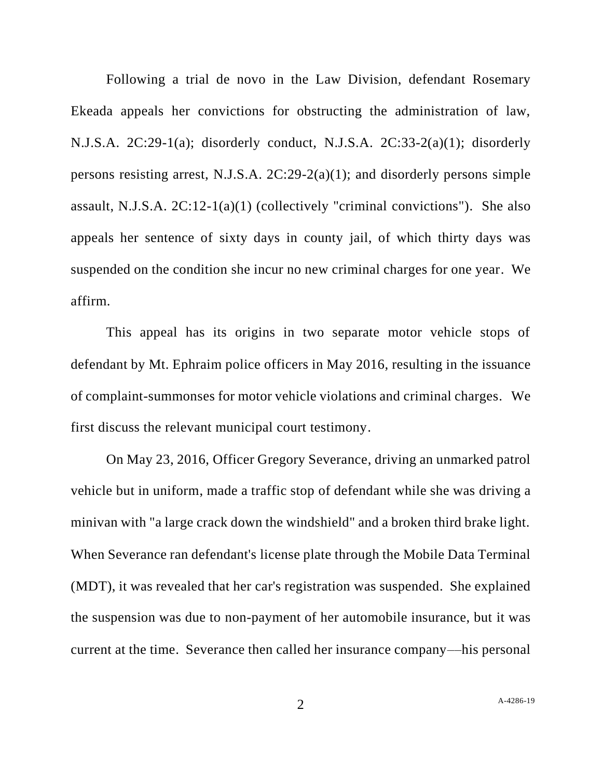Following a trial de novo in the Law Division, defendant Rosemary Ekeada appeals her convictions for obstructing the administration of law, N.J.S.A. 2C:29-1(a); disorderly conduct, N.J.S.A. 2C:33-2(a)(1); disorderly persons resisting arrest, N.J.S.A. 2C:29-2(a)(1); and disorderly persons simple assault, N.J.S.A. 2C:12-1(a)(1) (collectively "criminal convictions"). She also appeals her sentence of sixty days in county jail, of which thirty days was suspended on the condition she incur no new criminal charges for one year. We affirm.

This appeal has its origins in two separate motor vehicle stops of defendant by Mt. Ephraim police officers in May 2016, resulting in the issuance of complaint-summonses for motor vehicle violations and criminal charges. We first discuss the relevant municipal court testimony.

On May 23, 2016, Officer Gregory Severance, driving an unmarked patrol vehicle but in uniform, made a traffic stop of defendant while she was driving a minivan with "a large crack down the windshield" and a broken third brake light. When Severance ran defendant's license plate through the Mobile Data Terminal (MDT), it was revealed that her car's registration was suspended. She explained the suspension was due to non-payment of her automobile insurance, but it was current at the time. Severance then called her insurance company––his personal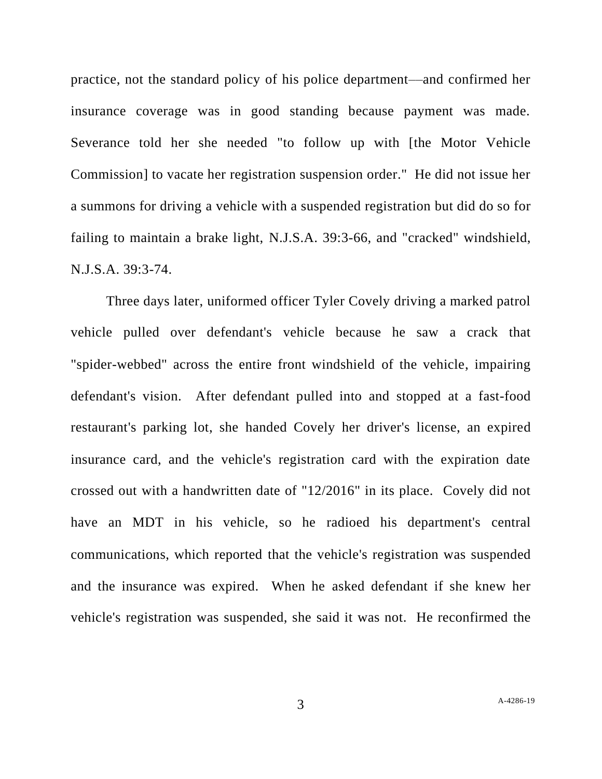practice, not the standard policy of his police department––and confirmed her insurance coverage was in good standing because payment was made. Severance told her she needed "to follow up with [the Motor Vehicle Commission] to vacate her registration suspension order." He did not issue her a summons for driving a vehicle with a suspended registration but did do so for failing to maintain a brake light, N.J.S.A. 39:3-66, and "cracked" windshield, N.J.S.A. 39:3-74.

Three days later, uniformed officer Tyler Covely driving a marked patrol vehicle pulled over defendant's vehicle because he saw a crack that "spider-webbed" across the entire front windshield of the vehicle, impairing defendant's vision. After defendant pulled into and stopped at a fast-food restaurant's parking lot, she handed Covely her driver's license, an expired insurance card, and the vehicle's registration card with the expiration date crossed out with a handwritten date of "12/2016" in its place. Covely did not have an MDT in his vehicle, so he radioed his department's central communications, which reported that the vehicle's registration was suspended and the insurance was expired. When he asked defendant if she knew her vehicle's registration was suspended, she said it was not. He reconfirmed the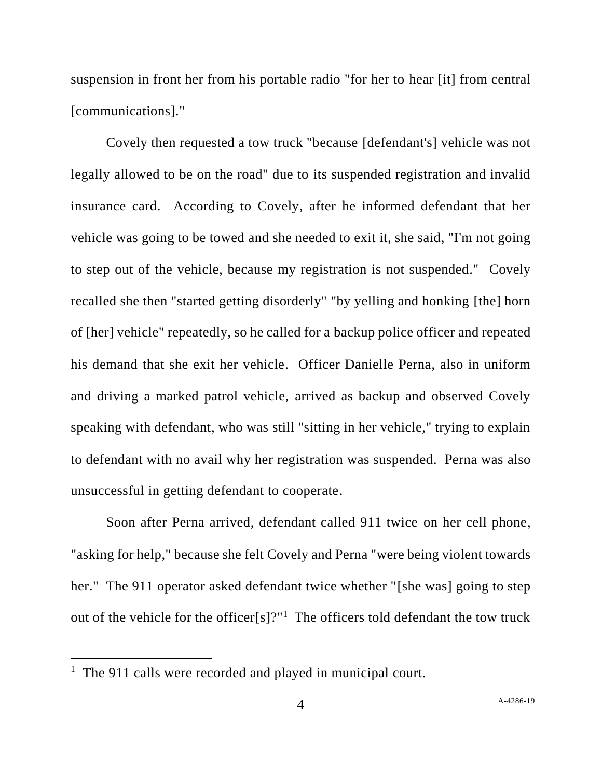suspension in front her from his portable radio "for her to hear [it] from central [communications]."

Covely then requested a tow truck "because [defendant's] vehicle was not legally allowed to be on the road" due to its suspended registration and invalid insurance card. According to Covely, after he informed defendant that her vehicle was going to be towed and she needed to exit it, she said, "I'm not going to step out of the vehicle, because my registration is not suspended." Covely recalled she then "started getting disorderly" "by yelling and honking [the] horn of [her] vehicle" repeatedly, so he called for a backup police officer and repeated his demand that she exit her vehicle. Officer Danielle Perna, also in uniform and driving a marked patrol vehicle, arrived as backup and observed Covely speaking with defendant, who was still "sitting in her vehicle," trying to explain to defendant with no avail why her registration was suspended. Perna was also unsuccessful in getting defendant to cooperate.

Soon after Perna arrived, defendant called 911 twice on her cell phone, "asking for help," because she felt Covely and Perna "were being violent towards her." The 911 operator asked defendant twice whether "[she was] going to step out of the vehicle for the officer $[s]$ ?"<sup>1</sup> The officers told defendant the tow truck

<sup>&</sup>lt;sup>1</sup> The 911 calls were recorded and played in municipal court.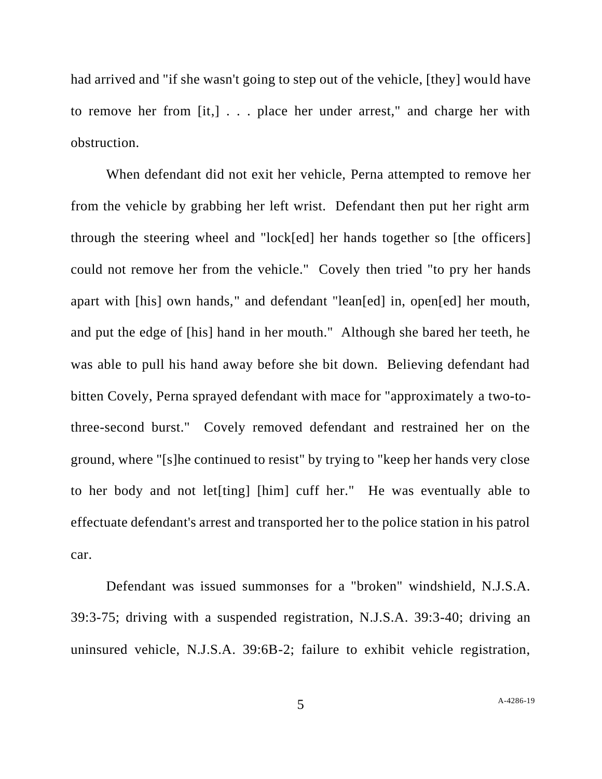had arrived and "if she wasn't going to step out of the vehicle, [they] would have to remove her from [it,] . . . place her under arrest," and charge her with obstruction.

When defendant did not exit her vehicle, Perna attempted to remove her from the vehicle by grabbing her left wrist. Defendant then put her right arm through the steering wheel and "lock[ed] her hands together so [the officers] could not remove her from the vehicle." Covely then tried "to pry her hands apart with [his] own hands," and defendant "lean[ed] in, open[ed] her mouth, and put the edge of [his] hand in her mouth." Although she bared her teeth, he was able to pull his hand away before she bit down. Believing defendant had bitten Covely, Perna sprayed defendant with mace for "approximately a two-tothree-second burst." Covely removed defendant and restrained her on the ground, where "[s]he continued to resist" by trying to "keep her hands very close to her body and not let[ting] [him] cuff her." He was eventually able to effectuate defendant's arrest and transported her to the police station in his patrol car.

Defendant was issued summonses for a "broken" windshield, N.J.S.A. 39:3-75; driving with a suspended registration, N.J.S.A. 39:3-40; driving an uninsured vehicle, N.J.S.A. 39:6B-2; failure to exhibit vehicle registration,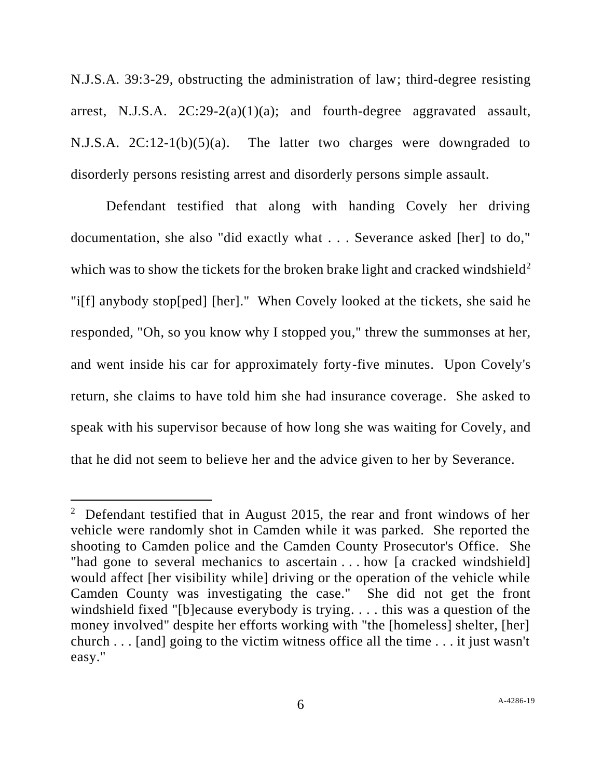N.J.S.A. 39:3-29, obstructing the administration of law; third-degree resisting arrest, N.J.S.A.  $2C:29-2(a)(1)(a)$ ; and fourth-degree aggravated assault, N.J.S.A. 2C:12-1(b)(5)(a). The latter two charges were downgraded to disorderly persons resisting arrest and disorderly persons simple assault.

Defendant testified that along with handing Covely her driving documentation, she also "did exactly what . . . Severance asked [her] to do," which was to show the tickets for the broken brake light and cracked windshield<sup>2</sup> "i[f] anybody stop[ped] [her]." When Covely looked at the tickets, she said he responded, "Oh, so you know why I stopped you," threw the summonses at her, and went inside his car for approximately forty-five minutes. Upon Covely's return, she claims to have told him she had insurance coverage. She asked to speak with his supervisor because of how long she was waiting for Covely, and that he did not seem to believe her and the advice given to her by Severance.

<sup>&</sup>lt;sup>2</sup> Defendant testified that in August 2015, the rear and front windows of her vehicle were randomly shot in Camden while it was parked. She reported the shooting to Camden police and the Camden County Prosecutor's Office. She "had gone to several mechanics to ascertain . . . how [a cracked windshield] would affect [her visibility while] driving or the operation of the vehicle while Camden County was investigating the case." She did not get the front windshield fixed "[b]ecause everybody is trying. . . . this was a question of the money involved" despite her efforts working with "the [homeless] shelter, [her] church . . . [and] going to the victim witness office all the time . . . it just wasn't easy."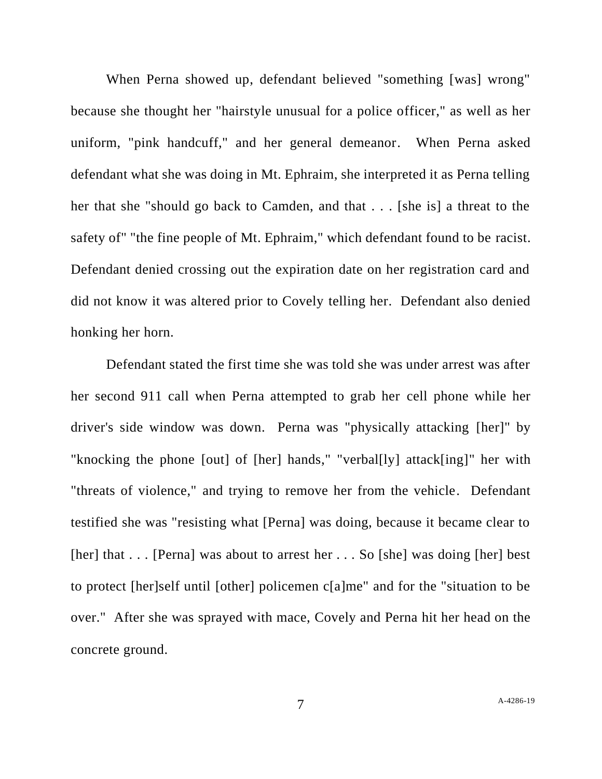When Perna showed up, defendant believed "something [was] wrong" because she thought her "hairstyle unusual for a police officer," as well as her uniform, "pink handcuff," and her general demeanor. When Perna asked defendant what she was doing in Mt. Ephraim, she interpreted it as Perna telling her that she "should go back to Camden, and that . . . [she is] a threat to the safety of" "the fine people of Mt. Ephraim," which defendant found to be racist. Defendant denied crossing out the expiration date on her registration card and did not know it was altered prior to Covely telling her. Defendant also denied honking her horn.

Defendant stated the first time she was told she was under arrest was after her second 911 call when Perna attempted to grab her cell phone while her driver's side window was down. Perna was "physically attacking [her]" by "knocking the phone [out] of [her] hands," "verbal[ly] attack[ing]" her with "threats of violence," and trying to remove her from the vehicle. Defendant testified she was "resisting what [Perna] was doing, because it became clear to [her] that . . . [Perna] was about to arrest her . . . So [she] was doing [her] best to protect [her]self until [other] policemen c[a]me" and for the "situation to be over." After she was sprayed with mace, Covely and Perna hit her head on the concrete ground.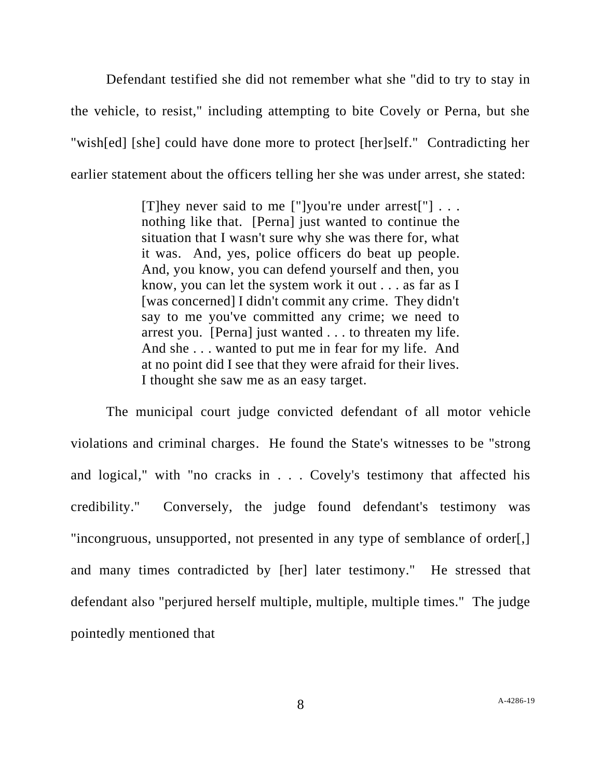Defendant testified she did not remember what she "did to try to stay in the vehicle, to resist," including attempting to bite Covely or Perna, but she "wish[ed] [she] could have done more to protect [her]self." Contradicting her earlier statement about the officers telling her she was under arrest, she stated:

> [T]hey never said to me ["]you're under arrest["] . . . nothing like that. [Perna] just wanted to continue the situation that I wasn't sure why she was there for, what it was. And, yes, police officers do beat up people. And, you know, you can defend yourself and then, you know, you can let the system work it out . . . as far as I [was concerned] I didn't commit any crime. They didn't say to me you've committed any crime; we need to arrest you. [Perna] just wanted . . . to threaten my life. And she . . . wanted to put me in fear for my life. And at no point did I see that they were afraid for their lives. I thought she saw me as an easy target.

The municipal court judge convicted defendant of all motor vehicle violations and criminal charges. He found the State's witnesses to be "strong and logical," with "no cracks in . . . Covely's testimony that affected his credibility." Conversely, the judge found defendant's testimony was "incongruous, unsupported, not presented in any type of semblance of order[,] and many times contradicted by [her] later testimony." He stressed that defendant also "perjured herself multiple, multiple, multiple times." The judge pointedly mentioned that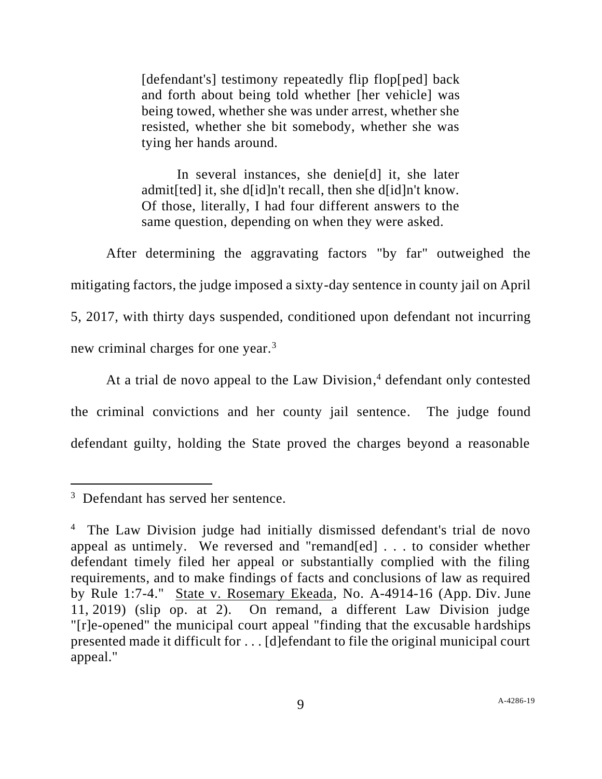[defendant's] testimony repeatedly flip flop[ped] back and forth about being told whether [her vehicle] was being towed, whether she was under arrest, whether she resisted, whether she bit somebody, whether she was tying her hands around.

In several instances, she denie[d] it, she later admit[ted] it, she d[id]n't recall, then she d[id]n't know. Of those, literally, I had four different answers to the same question, depending on when they were asked.

After determining the aggravating factors "by far" outweighed the mitigating factors, the judge imposed a sixty-day sentence in county jail on April 5, 2017, with thirty days suspended, conditioned upon defendant not incurring new criminal charges for one year.<sup>3</sup>

At a trial de novo appeal to the Law Division, <sup>4</sup> defendant only contested the criminal convictions and her county jail sentence. The judge found defendant guilty, holding the State proved the charges beyond a reasonable

<sup>&</sup>lt;sup>3</sup> Defendant has served her sentence.

<sup>&</sup>lt;sup>4</sup> The Law Division judge had initially dismissed defendant's trial de novo appeal as untimely. We reversed and "remand[ed] . . . to consider whether defendant timely filed her appeal or substantially complied with the filing requirements, and to make findings of facts and conclusions of law as required by Rule 1:7-4." State v. Rosemary Ekeada, No. A-4914-16 (App. Div. June 11, 2019) (slip op. at 2). On remand, a different Law Division judge "[r]e-opened" the municipal court appeal "finding that the excusable hardships presented made it difficult for . . . [d]efendant to file the original municipal court appeal."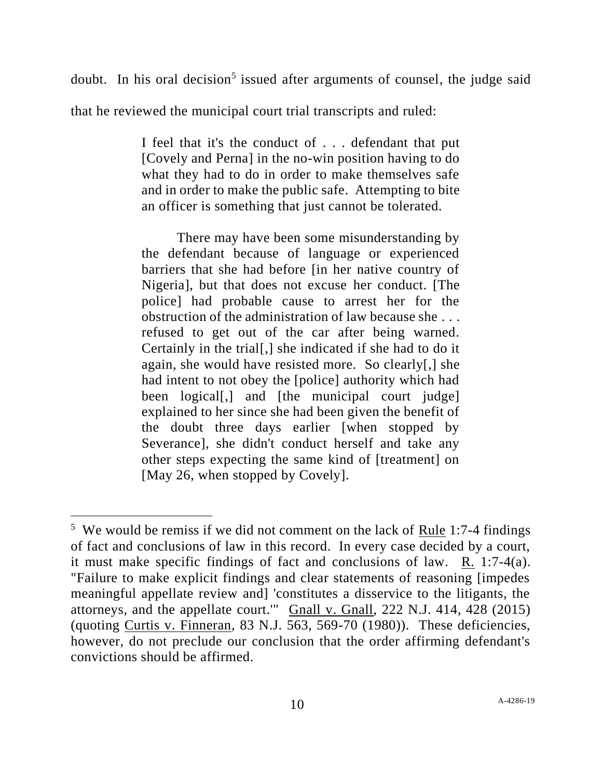doubt. In his oral decision<sup>5</sup> issued after arguments of counsel, the judge said

that he reviewed the municipal court trial transcripts and ruled:

I feel that it's the conduct of . . . defendant that put [Covely and Perna] in the no-win position having to do what they had to do in order to make themselves safe and in order to make the public safe. Attempting to bite an officer is something that just cannot be tolerated.

There may have been some misunderstanding by the defendant because of language or experienced barriers that she had before [in her native country of Nigeria], but that does not excuse her conduct. [The police] had probable cause to arrest her for the obstruction of the administration of law because she . . . refused to get out of the car after being warned. Certainly in the trial[,] she indicated if she had to do it again, she would have resisted more. So clearly[,] she had intent to not obey the [police] authority which had been logical. and [the municipal court judge] explained to her since she had been given the benefit of the doubt three days earlier [when stopped by Severance], she didn't conduct herself and take any other steps expecting the same kind of [treatment] on [May 26, when stopped by Covely].

<sup>&</sup>lt;sup>5</sup> We would be remiss if we did not comment on the lack of <u>Rule</u> 1:7-4 findings of fact and conclusions of law in this record. In every case decided by a court, it must make specific findings of fact and conclusions of law. R. 1:7-4(a). "Failure to make explicit findings and clear statements of reasoning [impedes meaningful appellate review and] 'constitutes a disservice to the litigants, the attorneys, and the appellate court.'" Gnall v. Gnall, 222 N.J. 414, 428 (2015) (quoting Curtis v. Finneran, 83 N.J. 563, 569-70 (1980)). These deficiencies, however, do not preclude our conclusion that the order affirming defendant's convictions should be affirmed.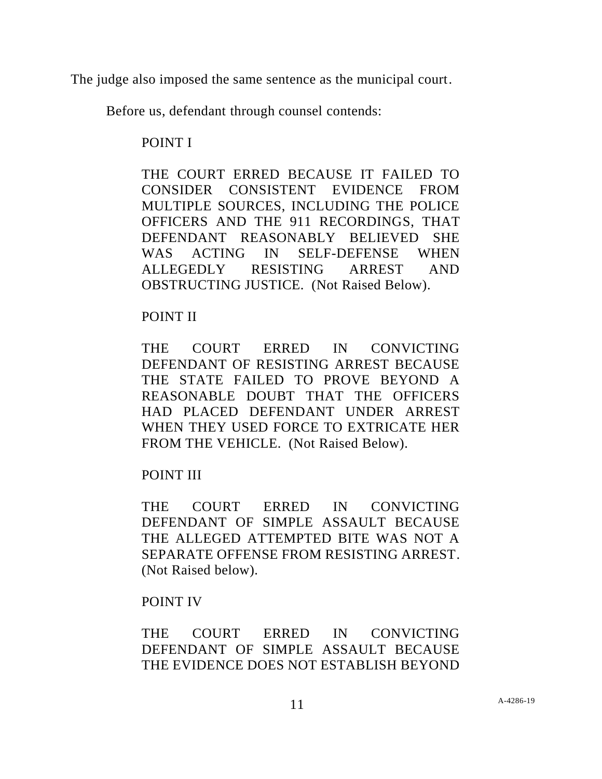The judge also imposed the same sentence as the municipal court.

Before us, defendant through counsel contends:

## POINT I

THE COURT ERRED BECAUSE IT FAILED TO CONSIDER CONSISTENT EVIDENCE FROM MULTIPLE SOURCES, INCLUDING THE POLICE OFFICERS AND THE 911 RECORDINGS, THAT DEFENDANT REASONABLY BELIEVED SHE WAS ACTING IN SELF-DEFENSE WHEN ALLEGEDLY RESISTING ARREST AND OBSTRUCTING JUSTICE. (Not Raised Below).

## POINT II

THE COURT ERRED IN CONVICTING DEFENDANT OF RESISTING ARREST BECAUSE THE STATE FAILED TO PROVE BEYOND A REASONABLE DOUBT THAT THE OFFICERS HAD PLACED DEFENDANT UNDER ARREST WHEN THEY USED FORCE TO EXTRICATE HER FROM THE VEHICLE. (Not Raised Below).

## POINT III

THE COURT ERRED IN CONVICTING DEFENDANT OF SIMPLE ASSAULT BECAUSE THE ALLEGED ATTEMPTED BITE WAS NOT A SEPARATE OFFENSE FROM RESISTING ARREST. (Not Raised below).

## POINT IV

THE COURT ERRED IN CONVICTING DEFENDANT OF SIMPLE ASSAULT BECAUSE THE EVIDENCE DOES NOT ESTABLISH BEYOND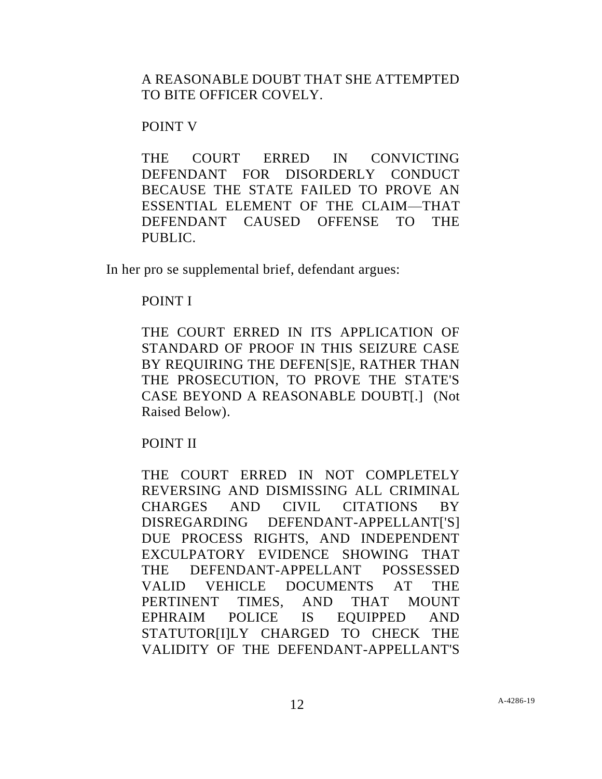A REASONABLE DOUBT THAT SHE ATTEMPTED TO BITE OFFICER COVELY.

## POINT V

THE COURT ERRED IN CONVICTING DEFENDANT FOR DISORDERLY CONDUCT BECAUSE THE STATE FAILED TO PROVE AN ESSENTIAL ELEMENT OF THE CLAIM—THAT DEFENDANT CAUSED OFFENSE TO THE PUBLIC.

In her pro se supplemental brief, defendant argues:

## POINT I

THE COURT ERRED IN ITS APPLICATION OF STANDARD OF PROOF IN THIS SEIZURE CASE BY REQUIRING THE DEFEN[S]E, RATHER THAN THE PROSECUTION, TO PROVE THE STATE'S CASE BEYOND A REASONABLE DOUBT[.] (Not Raised Below).

## POINT II

THE COURT ERRED IN NOT COMPLETELY REVERSING AND DISMISSING ALL CRIMINAL CHARGES AND CIVIL CITATIONS BY DISREGARDING DEFENDANT-APPELLANT['S] DUE PROCESS RIGHTS, AND INDEPENDENT EXCULPATORY EVIDENCE SHOWING THAT THE DEFENDANT-APPELLANT POSSESSED VALID VEHICLE DOCUMENTS AT THE PERTINENT TIMES, AND THAT MOUNT EPHRAIM POLICE IS EQUIPPED AND STATUTORIILY CHARGED TO CHECK THE VALIDITY OF THE DEFENDANT-APPELLANT'S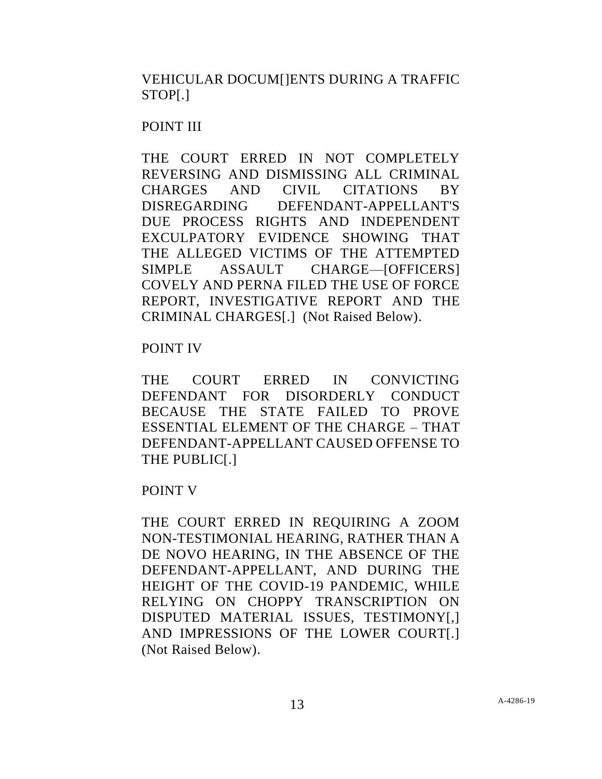# VEHICULAR DOCUM[]ENTS DURING A TRAFFIC STOP[.]

## POINT III

THE COURT ERRED IN NOT COMPLETELY REVERSING AND DISMISSING ALL CRIMINAL CHARGES AND CIVIL CITATIONS BY DISREGARDING DEFENDANT-APPELLANT'S DUE PROCESS RIGHTS AND INDEPENDENT EXCULPATORY EVIDENCE SHOWING THAT THE ALLEGED VICTIMS OF THE ATTEMPTED SIMPLE ASSAULT CHARGE—[OFFICERS] COVELY AND PERNA FILED THE USE OF FORCE REPORT, INVESTIGATIVE REPORT AND THE CRIMINAL CHARGES[.] (Not Raised Below).

# POINT IV

THE COURT ERRED IN CONVICTING DEFENDANT FOR DISORDERLY CONDUCT BECAUSE THE STATE FAILED TO PROVE ESSENTIAL ELEMENT OF THE CHARGE – THAT DEFENDANT-APPELLANT CAUSED OFFENSE TO THE PUBLIC[.]

# POINT V

THE COURT ERRED IN REQUIRING A ZOOM NON-TESTIMONIAL HEARING, RATHER THAN A DE NOVO HEARING, IN THE ABSENCE OF THE DEFENDANT-APPELLANT, AND DURING THE HEIGHT OF THE COVID-19 PANDEMIC, WHILE RELYING ON CHOPPY TRANSCRIPTION ON DISPUTED MATERIAL ISSUES, TESTIMONY[,] AND IMPRESSIONS OF THE LOWER COURT[.] (Not Raised Below).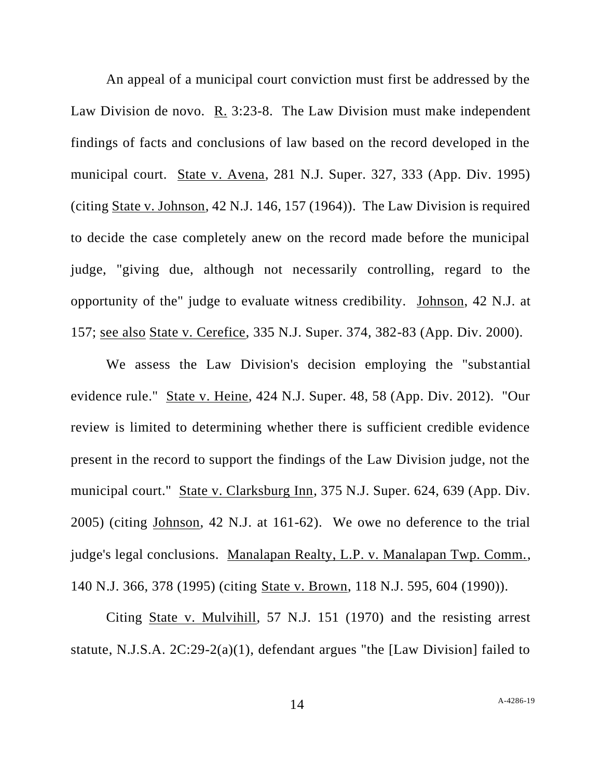An appeal of a municipal court conviction must first be addressed by the Law Division de novo. R. 3:23-8. The Law Division must make independent findings of facts and conclusions of law based on the record developed in the municipal court. State v. Avena, 281 N.J. Super. 327, 333 (App. Div. 1995) (citing State v. Johnson, 42 N.J. 146, 157 (1964)). The Law Division is required to decide the case completely anew on the record made before the municipal judge, "giving due, although not necessarily controlling, regard to the opportunity of the" judge to evaluate witness credibility. Johnson, 42 N.J. at 157; see also State v. Cerefice, 335 N.J. Super. 374, 382-83 (App. Div. 2000).

We assess the Law Division's decision employing the "substantial evidence rule." State v. Heine, 424 N.J. Super. 48, 58 (App. Div. 2012). "Our review is limited to determining whether there is sufficient credible evidence present in the record to support the findings of the Law Division judge, not the municipal court." State v. Clarksburg Inn, 375 N.J. Super. 624, 639 (App. Div. 2005) (citing Johnson, 42 N.J. at 161-62). We owe no deference to the trial judge's legal conclusions. Manalapan Realty, L.P. v. Manalapan Twp. Comm., 140 N.J. 366, 378 (1995) (citing State v. Brown, 118 N.J. 595, 604 (1990)).

Citing State v. Mulvihill, 57 N.J. 151 (1970) and the resisting arrest statute, N.J.S.A. 2C:29-2(a)(1), defendant argues "the [Law Division] failed to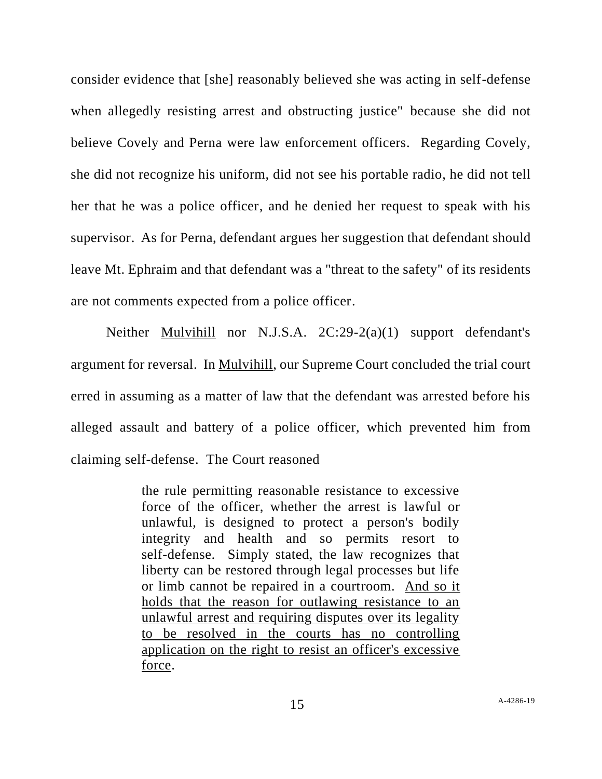consider evidence that [she] reasonably believed she was acting in self-defense when allegedly resisting arrest and obstructing justice" because she did not believe Covely and Perna were law enforcement officers. Regarding Covely, she did not recognize his uniform, did not see his portable radio, he did not tell her that he was a police officer, and he denied her request to speak with his supervisor. As for Perna, defendant argues her suggestion that defendant should leave Mt. Ephraim and that defendant was a "threat to the safety" of its residents are not comments expected from a police officer.

Neither Mulvihill nor N.J.S.A. 2C:29-2(a)(1) support defendant's argument for reversal. In Mulvihill, our Supreme Court concluded the trial court erred in assuming as a matter of law that the defendant was arrested before his alleged assault and battery of a police officer, which prevented him from claiming self-defense. The Court reasoned

> the rule permitting reasonable resistance to excessive force of the officer, whether the arrest is lawful or unlawful, is designed to protect a person's bodily integrity and health and so permits resort to self-defense. Simply stated, the law recognizes that liberty can be restored through legal processes but life or limb cannot be repaired in a courtroom. And so it holds that the reason for outlawing resistance to an unlawful arrest and requiring disputes over its legality to be resolved in the courts has no controlling application on the right to resist an officer's excessive force.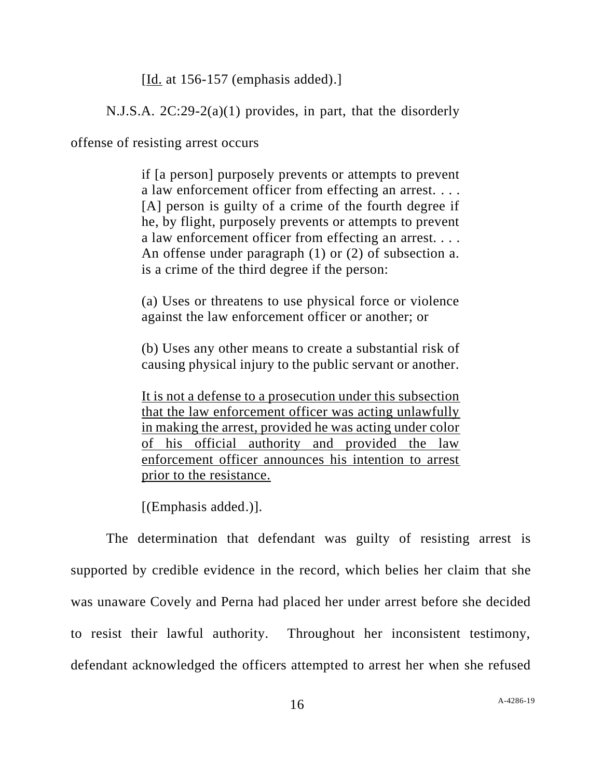[Id. at 156-157 (emphasis added).]

N.J.S.A. 2C:29-2(a)(1) provides, in part, that the disorderly

offense of resisting arrest occurs

if [a person] purposely prevents or attempts to prevent a law enforcement officer from effecting an arrest. . . . [A] person is guilty of a crime of the fourth degree if he, by flight, purposely prevents or attempts to prevent a law enforcement officer from effecting an arrest. . . . An offense under paragraph (1) or (2) of subsection a. is a crime of the third degree if the person:

(a) Uses or threatens to use physical force or violence against the law enforcement officer or another; or

(b) Uses any other means to create a substantial risk of causing physical injury to the public servant or another.

It is not a defense to a prosecution under this subsection that the law enforcement officer was acting unlawfully in making the arrest, provided he was acting under color of his official authority and provided the law enforcement officer announces his intention to arrest prior to the resistance.

[(Emphasis added.)].

The determination that defendant was guilty of resisting arrest is supported by credible evidence in the record, which belies her claim that she was unaware Covely and Perna had placed her under arrest before she decided to resist their lawful authority. Throughout her inconsistent testimony, defendant acknowledged the officers attempted to arrest her when she refused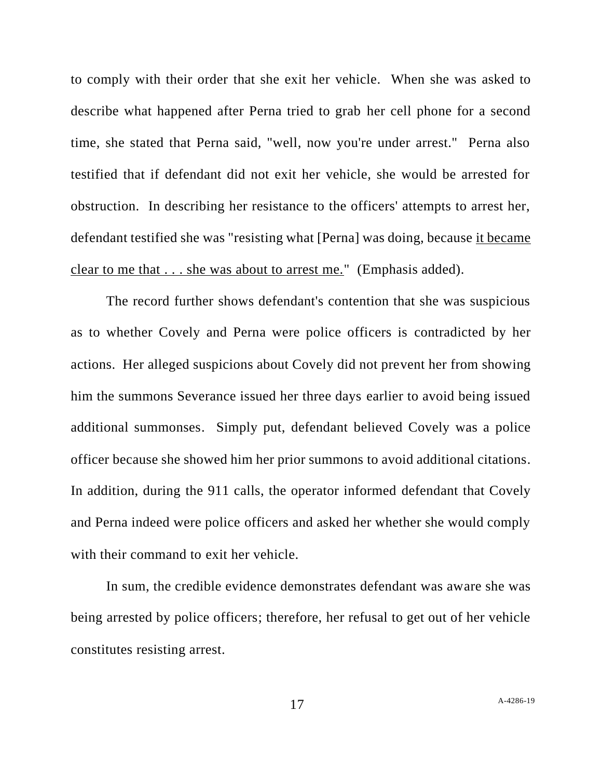to comply with their order that she exit her vehicle. When she was asked to describe what happened after Perna tried to grab her cell phone for a second time, she stated that Perna said, "well, now you're under arrest." Perna also testified that if defendant did not exit her vehicle, she would be arrested for obstruction. In describing her resistance to the officers' attempts to arrest her, defendant testified she was "resisting what [Perna] was doing, because it became clear to me that . . . she was about to arrest me." (Emphasis added).

The record further shows defendant's contention that she was suspicious as to whether Covely and Perna were police officers is contradicted by her actions. Her alleged suspicions about Covely did not prevent her from showing him the summons Severance issued her three days earlier to avoid being issued additional summonses. Simply put, defendant believed Covely was a police officer because she showed him her prior summons to avoid additional citations. In addition, during the 911 calls, the operator informed defendant that Covely and Perna indeed were police officers and asked her whether she would comply with their command to exit her vehicle.

In sum, the credible evidence demonstrates defendant was aware she was being arrested by police officers; therefore, her refusal to get out of her vehicle constitutes resisting arrest.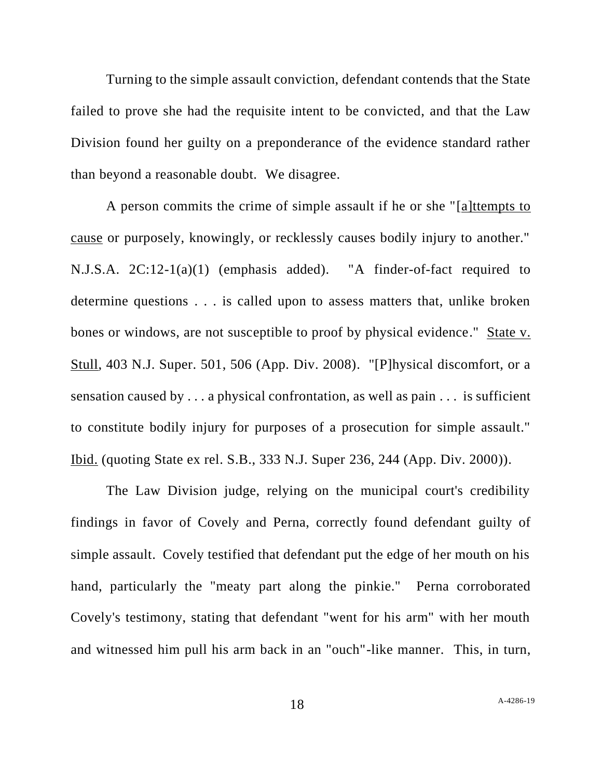Turning to the simple assault conviction, defendant contends that the State failed to prove she had the requisite intent to be convicted, and that the Law Division found her guilty on a preponderance of the evidence standard rather than beyond a reasonable doubt. We disagree.

A person commits the crime of simple assault if he or she "[a]ttempts to cause or purposely, knowingly, or recklessly causes bodily injury to another." N.J.S.A. 2C:12-1(a)(1) (emphasis added). "A finder-of-fact required to determine questions . . . is called upon to assess matters that, unlike broken bones or windows, are not susceptible to proof by physical evidence." State v. Stull, 403 N.J. Super. 501, 506 (App. Div. 2008). "[P]hysical discomfort, or a sensation caused by . . . a physical confrontation, as well as pain . . . is sufficient to constitute bodily injury for purposes of a prosecution for simple assault." Ibid. (quoting State ex rel. S.B., 333 N.J. Super 236, 244 (App. Div. 2000)).

The Law Division judge, relying on the municipal court's credibility findings in favor of Covely and Perna, correctly found defendant guilty of simple assault. Covely testified that defendant put the edge of her mouth on his hand, particularly the "meaty part along the pinkie." Perna corroborated Covely's testimony, stating that defendant "went for his arm" with her mouth and witnessed him pull his arm back in an "ouch"-like manner. This, in turn,